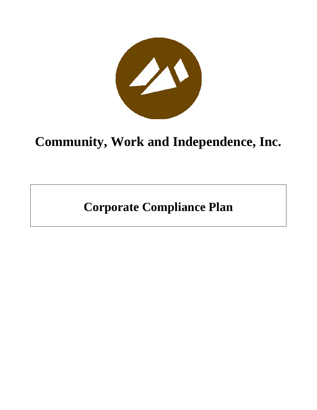

# **Community, Work and Independence, Inc.**

**Corporate Compliance Plan**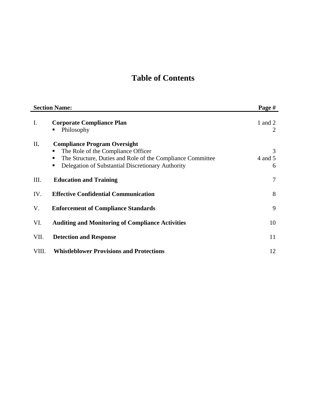# **Table of Contents**

| <b>Section Name:</b> |                                                                                                                                                                                                             | Page #            |
|----------------------|-------------------------------------------------------------------------------------------------------------------------------------------------------------------------------------------------------------|-------------------|
| I.                   | <b>Corporate Compliance Plan</b><br>Philosophy<br>٠                                                                                                                                                         | 1 and 2<br>2      |
| II.                  | <b>Compliance Program Oversight</b><br>The Role of the Compliance Officer<br>ш<br>The Structure, Duties and Role of the Compliance Committee<br>ш<br>Delegation of Substantial Discretionary Authority<br>٠ | 3<br>4 and 5<br>6 |
| Ш.                   | <b>Education and Training</b>                                                                                                                                                                               | 7                 |
| IV.                  | <b>Effective Confidential Communication</b>                                                                                                                                                                 | 8                 |
| V.                   | <b>Enforcement of Compliance Standards</b>                                                                                                                                                                  | 9                 |
| VI.                  | <b>Auditing and Monitoring of Compliance Activities</b>                                                                                                                                                     | 10                |
| VII.                 | <b>Detection and Response</b>                                                                                                                                                                               | 11                |
| VIII.                | <b>Whistleblower Provisions and Protections</b>                                                                                                                                                             | 12                |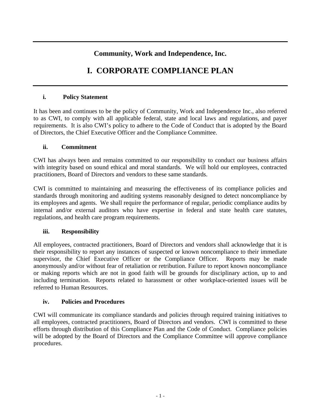# **Community, Work and Independence, Inc.**

# **I. CORPORATE COMPLIANCE PLAN**

#### **i. Policy Statement**

It has been and continues to be the policy of Community, Work and Independence Inc., also referred to as CWI, to comply with all applicable federal, state and local laws and regulations, and payer requirements. It is also CWI's policy to adhere to the Code of Conduct that is adopted by the Board of Directors, the Chief Executive Officer and the Compliance Committee.

#### **ii. Commitment**

CWI has always been and remains committed to our responsibility to conduct our business affairs with integrity based on sound ethical and moral standards. We will hold our employees, contracted practitioners, Board of Directors and vendors to these same standards.

CWI is committed to maintaining and measuring the effectiveness of its compliance policies and standards through monitoring and auditing systems reasonably designed to detect noncompliance by its employees and agents. We shall require the performance of regular, periodic compliance audits by internal and/or external auditors who have expertise in federal and state health care statutes, regulations, and health care program requirements.

#### **iii. Responsibility**

All employees, contracted practitioners, Board of Directors and vendors shall acknowledge that it is their responsibility to report any instances of suspected or known noncompliance to their immediate supervisor, the Chief Executive Officer or the Compliance Officer. Reports may be made anonymously and/or without fear of retaliation or retribution. Failure to report known noncompliance or making reports which are not in good faith will be grounds for disciplinary action, up to and including termination. Reports related to harassment or other workplace-oriented issues will be referred to Human Resources.

#### **iv. Policies and Procedures**

CWI will communicate its compliance standards and policies through required training initiatives to all employees, contracted practitioners, Board of Directors and vendors. CWI is committed to these efforts through distribution of this Compliance Plan and the Code of Conduct. Compliance policies will be adopted by the Board of Directors and the Compliance Committee will approve compliance procedures.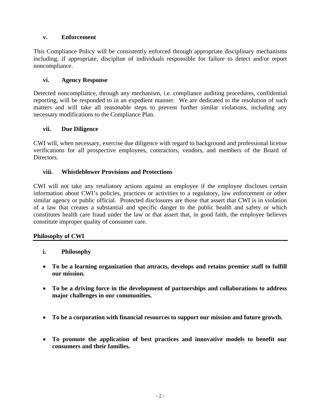#### **v. Enforcement**

This Compliance Policy will be consistently enforced through appropriate disciplinary mechanisms including, if appropriate, discipline of individuals responsible for failure to detect and/or report noncompliance.

#### **vi. Agency Response**

Detected noncompliance, through any mechanism, i.e. compliance auditing procedures, confidential reporting, will be responded to in an expedient manner. We are dedicated to the resolution of such matters and will take all reasonable steps to prevent further similar violations, including any necessary modifications to the Compliance Plan.

#### **vii. Due Diligence**

CWI will, when necessary, exercise due diligence with regard to background and professional license verifications for all prospective employees, contractors, vendors, and members of the Board of Directors.

#### **viii. Whistleblower Provisions and Protections**

CWI will not take any retaliatory actions against an employee if the employee discloses certain information about CWI's policies, practices or activities to a regulatory, law enforcement or other similar agency or public official. Protected disclosures are those that assert that CWI is in violation of a law that creates a substantial and specific danger to the public health and safety or which constitutes health care fraud under the law or that assert that, in good faith, the employee believes constitute improper quality of consumer care.

#### **Philosophy of CWI**

- **i. Philosophy**
- **To be a learning organization that attracts, develops and retains premier staff to fulfill our mission.**
- **To be a driving force in the development of partnerships and collaborations to address major challenges in our communities.**
- **To be a corporation with financial resources to support our mission and future growth.**
- **To promote the application of best practices and innovative models to benefit our consumers and their families.**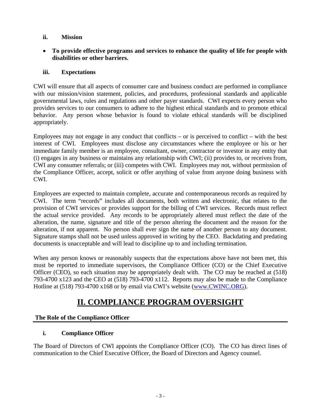#### **ii. Mission**

• **To provide effective programs and services to enhance the quality of life for people with disabilities or other barriers.** 

#### **iii. Expectations**

CWI will ensure that all aspects of consumer care and business conduct are performed in compliance with our mission/vision statement, policies, and procedures, professional standards and applicable governmental laws, rules and regulations and other payer standards. CWI expects every person who provides services to our consumers to adhere to the highest ethical standards and to promote ethical behavior. Any person whose behavior is found to violate ethical standards will be disciplined appropriately.

Employees may not engage in any conduct that conflicts – or is perceived to conflict – with the best interest of CWI. Employees must disclose any circumstances where the employee or his or her immediate family member is an employee, consultant, owner, contractor or investor in any entity that (i) engages in any business or maintains any relationship with CWI; (ii) provides to, or receives from, CWI any consumer referrals; or (iii) competes with CWI. Employees may not, without permission of the Compliance Officer, accept, solicit or offer anything of value from anyone doing business with CWI.

Employees are expected to maintain complete, accurate and contemporaneous records as required by CWI. The term "records" includes all documents, both written and electronic, that relates to the provision of CWI services or provides support for the billing of CWI services. Records must reflect the actual service provided. Any records to be appropriately altered must reflect the date of the alteration, the name, signature and title of the person altering the document and the reason for the alteration, if not apparent. No person shall ever sign the name of another person to any document. Signature stamps shall not be used unless approved in writing by the CEO. Backdating and predating documents is unacceptable and will lead to discipline up to and including termination.

When any person knows or reasonably suspects that the expectations above have not been met, this must be reported to immediate supervisors, the Compliance Officer (CO) or the Chief Executive Officer (CEO), so each situation may be appropriately dealt with. The CO may be reached at (518) 793-4700 x123 and the CEO at (518) 793-4700 x112. Reports may also be made to the Compliance Hotline at (518) 793-4700 x168 or by email via CWI's website (www.CWINC.ORG).

# **II. COMPLIANCE PROGRAM OVERSIGHT**

## **The Role of the Compliance Officer**

## **i. Compliance Officer**

The Board of Directors of CWI appoints the Compliance Officer (CO). The CO has direct lines of communication to the Chief Executive Officer, the Board of Directors and Agency counsel.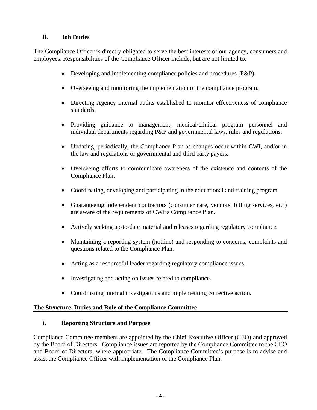#### **ii. Job Duties**

The Compliance Officer is directly obligated to serve the best interests of our agency, consumers and employees. Responsibilities of the Compliance Officer include, but are not limited to:

- Developing and implementing compliance policies and procedures (P&P).
- Overseeing and monitoring the implementation of the compliance program.
- Directing Agency internal audits established to monitor effectiveness of compliance standards.
- Providing guidance to management, medical/clinical program personnel and individual departments regarding P&P and governmental laws, rules and regulations.
- Updating, periodically, the Compliance Plan as changes occur within CWI, and/or in the law and regulations or governmental and third party payers.
- Overseeing efforts to communicate awareness of the existence and contents of the Compliance Plan.
- Coordinating, developing and participating in the educational and training program.
- Guaranteeing independent contractors (consumer care, vendors, billing services, etc.) are aware of the requirements of CWI's Compliance Plan.
- Actively seeking up-to-date material and releases regarding regulatory compliance.
- Maintaining a reporting system (hotline) and responding to concerns, complaints and questions related to the Compliance Plan.
- Acting as a resourceful leader regarding regulatory compliance issues.
- Investigating and acting on issues related to compliance.
- Coordinating internal investigations and implementing corrective action.

#### **The Structure, Duties and Role of the Compliance Committee**

#### **i. Reporting Structure and Purpose**

Compliance Committee members are appointed by the Chief Executive Officer (CEO) and approved by the Board of Directors. Compliance issues are reported by the Compliance Committee to the CEO and Board of Directors, where appropriate. The Compliance Committee's purpose is to advise and assist the Compliance Officer with implementation of the Compliance Plan.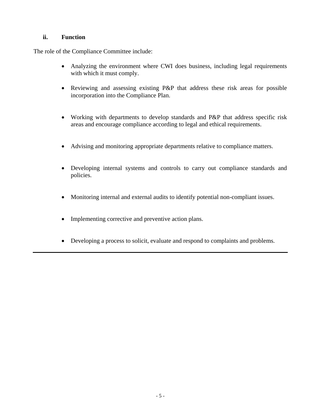#### **ii. Function**

The role of the Compliance Committee include:

- Analyzing the environment where CWI does business, including legal requirements with which it must comply.
- Reviewing and assessing existing P&P that address these risk areas for possible incorporation into the Compliance Plan.
- Working with departments to develop standards and P&P that address specific risk areas and encourage compliance according to legal and ethical requirements.
- Advising and monitoring appropriate departments relative to compliance matters.
- Developing internal systems and controls to carry out compliance standards and policies.
- Monitoring internal and external audits to identify potential non-compliant issues.
- Implementing corrective and preventive action plans.
- Developing a process to solicit, evaluate and respond to complaints and problems.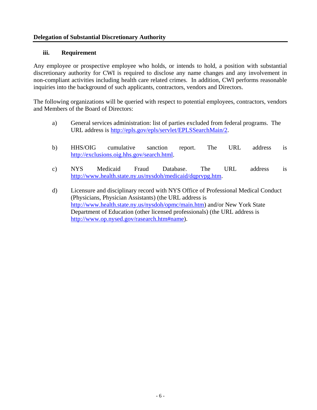#### **Delegation of Substantial Discretionary Authority**

#### **iii. Requirement**

Any employee or prospective employee who holds, or intends to hold, a position with substantial discretionary authority for CWI is required to disclose any name changes and any involvement in non-compliant activities including health care related crimes. In addition, CWI performs reasonable inquiries into the background of such applicants, contractors, vendors and Directors.

The following organizations will be queried with respect to potential employees, contractors, vendors and Members of the Board of Directors:

- a) General services administration: list of parties excluded from federal programs. The URL address is http://epls.gov/epls/servlet/EPLSSearchMain/2.
- b) HHS/OIG cumulative sanction report. The URL address is http://exclusions.oig.hhs.gov/search.html.
- c) NYS Medicaid Fraud Database. The URL address is http://www.health.state.ny.us/nysdoh/medicaid/dqprvpg.htm.
- d) Licensure and disciplinary record with NYS Office of Professional Medical Conduct (Physicians, Physician Assistants) (the URL address is http://www.health.state.ny.us/nysdoh/opmc/main.htm) and/or New York State Department of Education (other licensed professionals) (the URL address is http://www.op.nysed.gov/rasearch.htm#name).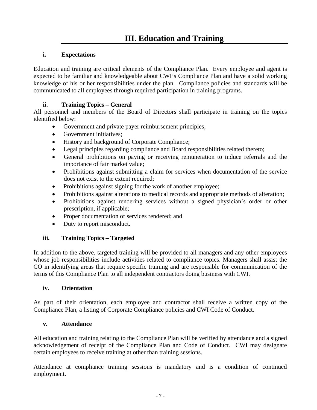#### **i. Expectations**

Education and training are critical elements of the Compliance Plan. Every employee and agent is expected to be familiar and knowledgeable about CWI's Compliance Plan and have a solid working knowledge of his or her responsibilities under the plan. Compliance policies and standards will be communicated to all employees through required participation in training programs.

#### **ii. Training Topics – General**

All personnel and members of the Board of Directors shall participate in training on the topics identified below:

- Government and private payer reimbursement principles;
- Government initiatives;
- History and background of Corporate Compliance;
- Legal principles regarding compliance and Board responsibilities related thereto;
- General prohibitions on paying or receiving remuneration to induce referrals and the importance of fair market value;
- Prohibitions against submitting a claim for services when documentation of the service does not exist to the extent required;
- Prohibitions against signing for the work of another employee;
- Prohibitions against alterations to medical records and appropriate methods of alteration;
- Prohibitions against rendering services without a signed physician's order or other prescription, if applicable;
- Proper documentation of services rendered; and
- Duty to report misconduct.

#### **iii. Training Topics – Targeted**

In addition to the above, targeted training will be provided to all managers and any other employees whose job responsibilities include activities related to compliance topics. Managers shall assist the CO in identifying areas that require specific training and are responsible for communication of the terms of this Compliance Plan to all independent contractors doing business with CWI.

#### **iv. Orientation**

As part of their orientation, each employee and contractor shall receive a written copy of the Compliance Plan, a listing of Corporate Compliance policies and CWI Code of Conduct.

#### **v. Attendance**

All education and training relating to the Compliance Plan will be verified by attendance and a signed acknowledgement of receipt of the Compliance Plan and Code of Conduct. CWI may designate certain employees to receive training at other than training sessions.

Attendance at compliance training sessions is mandatory and is a condition of continued employment.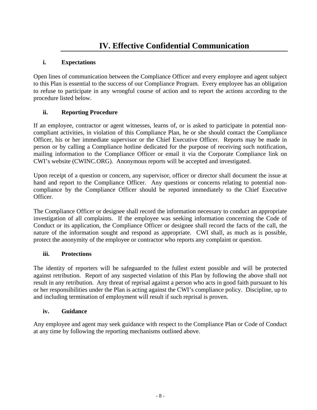# **i. Expectations**

Open lines of communication between the Compliance Officer and every employee and agent subject to this Plan is essential to the success of our Compliance Program. Every employee has an obligation to refuse to participate in any wrongful course of action and to report the actions according to the procedure listed below.

# **ii. Reporting Procedure**

If an employee, contractor or agent witnesses, learns of, or is asked to participate in potential noncompliant activities, in violation of this Compliance Plan, he or she should contact the Compliance Officer, his or her immediate supervisor or the Chief Executive Officer. Reports may be made in person or by calling a Compliance hotline dedicated for the purpose of receiving such notification, mailing information to the Compliance Officer or email it via the Corporate Compliance link on CWI's website (CWINC.ORG). Anonymous reports will be accepted and investigated.

Upon receipt of a question or concern, any supervisor, officer or director shall document the issue at hand and report to the Compliance Officer. Any questions or concerns relating to potential noncompliance by the Compliance Officer should be reported immediately to the Chief Executive Officer.

The Compliance Officer or designee shall record the information necessary to conduct an appropriate investigation of all complaints. If the employee was seeking information concerning the Code of Conduct or its application, the Compliance Officer or designee shall record the facts of the call, the nature of the information sought and respond as appropriate. CWI shall, as much as is possible, protect the anonymity of the employee or contractor who reports any complaint or question.

## **iii. Protections**

The identity of reporters will be safeguarded to the fullest extent possible and will be protected against retribution. Report of any suspected violation of this Plan by following the above shall not result in any retribution. Any threat of reprisal against a person who acts in good faith pursuant to his or her responsibilities under the Plan is acting against the CWI's compliance policy. Discipline, up to and including termination of employment will result if such reprisal is proven.

#### **iv. Guidance**

Any employee and agent may seek guidance with respect to the Compliance Plan or Code of Conduct at any time by following the reporting mechanisms outlined above.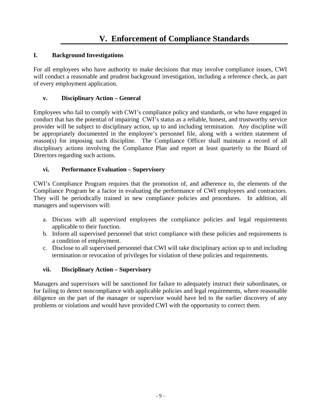# **I. Background Investigations**

For all employees who have authority to make decisions that may involve compliance issues, CWI will conduct a reasonable and prudent background investigation, including a reference check, as part of every employment application.

# **v. Disciplinary Action – General**

Employees who fail to comply with CWI's compliance policy and standards, or who have engaged in conduct that has the potential of impairing CWI's status as a reliable, honest, and trustworthy service provider will be subject to disciplinary action, up to and including termination. Any discipline will be appropriately documented in the employee's personnel file, along with a written statement of reason(s) for imposing such discipline. The Compliance Officer shall maintain a record of all disciplinary actions involving the Compliance Plan and report at least quarterly to the Board of Directors regarding such actions.

# **vi. Performance Evaluation – Supervisory**

CWI's Compliance Program requires that the promotion of, and adherence to, the elements of the Compliance Program be a factor in evaluating the performance of CWI employees and contractors. They will be periodically trained in new compliance policies and procedures. In addition, all managers and supervisors will:

- a. Discuss with all supervised employees the compliance policies and legal requirements applicable to their function.
- b. Inform all supervised personnel that strict compliance with these policies and requirements is a condition of employment.
- c. Disclose to all supervised personnel that CWI will take disciplinary action up to and including termination or revocation of privileges for violation of these policies and requirements.

## **vii. Disciplinary Action – Supervisory**

Managers and supervisors will be sanctioned for failure to adequately instruct their subordinates, or for failing to detect noncompliance with applicable policies and legal requirements, where reasonable diligence on the part of the manager or supervisor would have led to the earlier discovery of any problems or violations and would have provided CWI with the opportunity to correct them.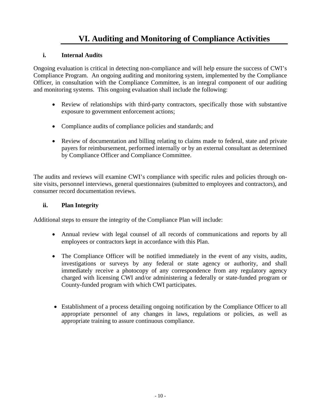# **VI. Auditing and Monitoring of Compliance Activities**

#### **i. Internal Audits**

Ongoing evaluation is critical in detecting non-compliance and will help ensure the success of CWI's Compliance Program. An ongoing auditing and monitoring system, implemented by the Compliance Officer, in consultation with the Compliance Committee, is an integral component of our auditing and monitoring systems. This ongoing evaluation shall include the following:

- Review of relationships with third-party contractors, specifically those with substantive exposure to government enforcement actions;
- Compliance audits of compliance policies and standards; and
- Review of documentation and billing relating to claims made to federal, state and private payers for reimbursement, performed internally or by an external consultant as determined by Compliance Officer and Compliance Committee.

The audits and reviews will examine CWI's compliance with specific rules and policies through onsite visits, personnel interviews, general questionnaires (submitted to employees and contractors), and consumer record documentation reviews.

#### **ii. Plan Integrity**

Additional steps to ensure the integrity of the Compliance Plan will include:

- Annual review with legal counsel of all records of communications and reports by all employees or contractors kept in accordance with this Plan.
- The Compliance Officer will be notified immediately in the event of any visits, audits, investigations or surveys by any federal or state agency or authority, and shall immediately receive a photocopy of any correspondence from any regulatory agency charged with licensing CWI and/or administering a federally or state-funded program or County-funded program with which CWI participates.
- Establishment of a process detailing ongoing notification by the Compliance Officer to all appropriate personnel of any changes in laws, regulations or policies, as well as appropriate training to assure continuous compliance.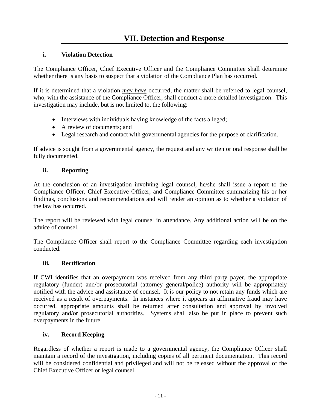#### **i. Violation Detection**

The Compliance Officer, Chief Executive Officer and the Compliance Committee shall determine whether there is any basis to suspect that a violation of the Compliance Plan has occurred.

If it is determined that a violation *may have* occurred, the matter shall be referred to legal counsel, who, with the assistance of the Compliance Officer, shall conduct a more detailed investigation. This investigation may include, but is not limited to, the following:

- Interviews with individuals having knowledge of the facts alleged;
- A review of documents; and
- Legal research and contact with governmental agencies for the purpose of clarification.

If advice is sought from a governmental agency, the request and any written or oral response shall be fully documented.

#### **ii. Reporting**

At the conclusion of an investigation involving legal counsel, he/she shall issue a report to the Compliance Officer, Chief Executive Officer, and Compliance Committee summarizing his or her findings, conclusions and recommendations and will render an opinion as to whether a violation of the law has occurred.

The report will be reviewed with legal counsel in attendance. Any additional action will be on the advice of counsel.

The Compliance Officer shall report to the Compliance Committee regarding each investigation conducted.

#### **iii. Rectification**

If CWI identifies that an overpayment was received from any third party payer, the appropriate regulatory (funder) and/or prosecutorial (attorney general/police) authority will be appropriately notified with the advice and assistance of counsel. It is our policy to not retain any funds which are received as a result of overpayments. In instances where it appears an affirmative fraud may have occurred, appropriate amounts shall be returned after consultation and approval by involved regulatory and/or prosecutorial authorities. Systems shall also be put in place to prevent such overpayments in the future.

## **iv. Record Keeping**

Regardless of whether a report is made to a governmental agency, the Compliance Officer shall maintain a record of the investigation, including copies of all pertinent documentation. This record will be considered confidential and privileged and will not be released without the approval of the Chief Executive Officer or legal counsel.